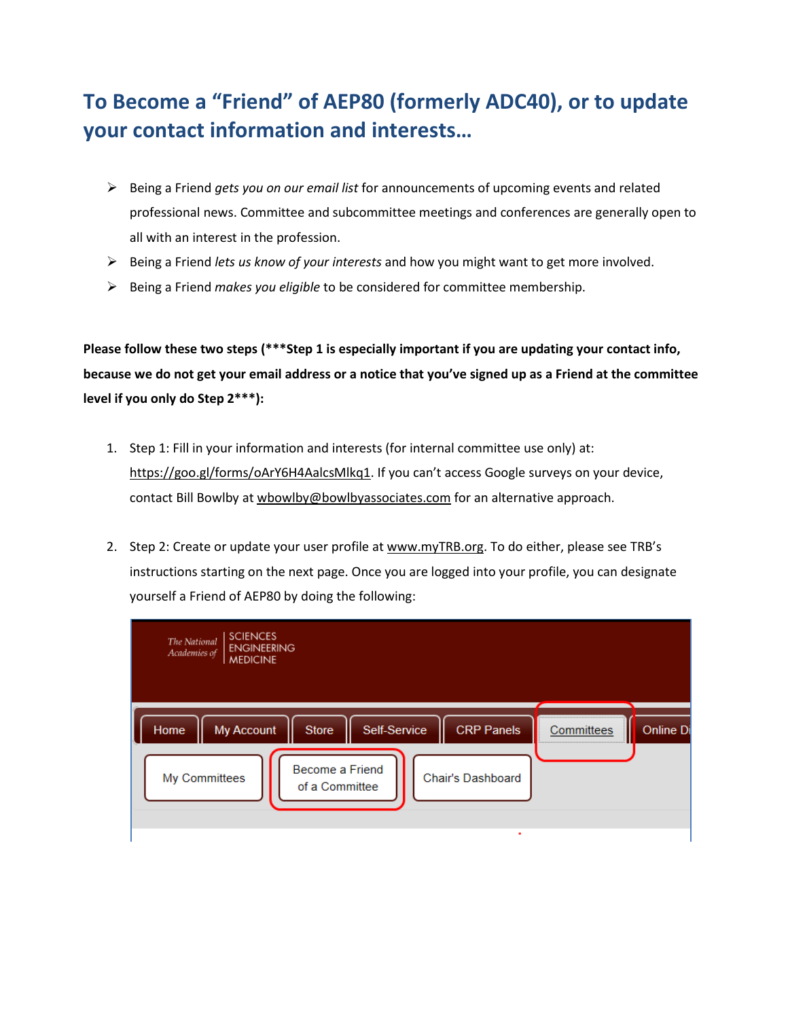# **To Become a "Friend" of AEP80 (formerly ADC40), or to update your contact information and interests…**

- Being a Friend *gets you on our email list* for announcements of upcoming events and related professional news. Committee and subcommittee meetings and conferences are generally open to all with an interest in the profession.
- Being a Friend *lets us know of your interests* and how you might want to get more involved.
- Being a Friend *makes you eligible* to be considered for committee membership.

**Please follow these two steps (\*\*\*Step 1 is especially important if you are updating your contact info, because we do not get your email address or a notice that you've signed up as a Friend at the committee level if you only do Step 2\*\*\*):**

- 1. Step 1: Fill in your information and interests (for internal committee use only) at: [https://goo.gl/forms/oArY6H4AalcsMlkq1.](https://goo.gl/forms/oArY6H4AalcsMlkq1) If you can't access Google surveys on your device, contact Bill Bowlby a[t wbowlby@bowlbyassociates.com](mailto:wbowlby@bowlbyassociates.com) for an alternative approach.
- 2. Step 2: Create or update your user profile a[t www.myTRB.org.](http://www.mytrb.org/) To do either, please see TRB's instructions starting on the next page. Once you are logged into your profile, you can designate yourself a Friend of AEP80 by doing the following:

| <b>SCIENCES</b><br>The National<br><b>ENGINEERING</b><br>Academies of<br><b>MEDICINE</b>                                                                  |            |           |
|-----------------------------------------------------------------------------------------------------------------------------------------------------------|------------|-----------|
| <b>CRP Panels</b><br>Home<br>Self-Service<br><b>My Account</b><br><b>Store</b><br>Become a Friend<br>Chair's Dashboard<br>My Committees<br>of a Committee | Committees | Online Di |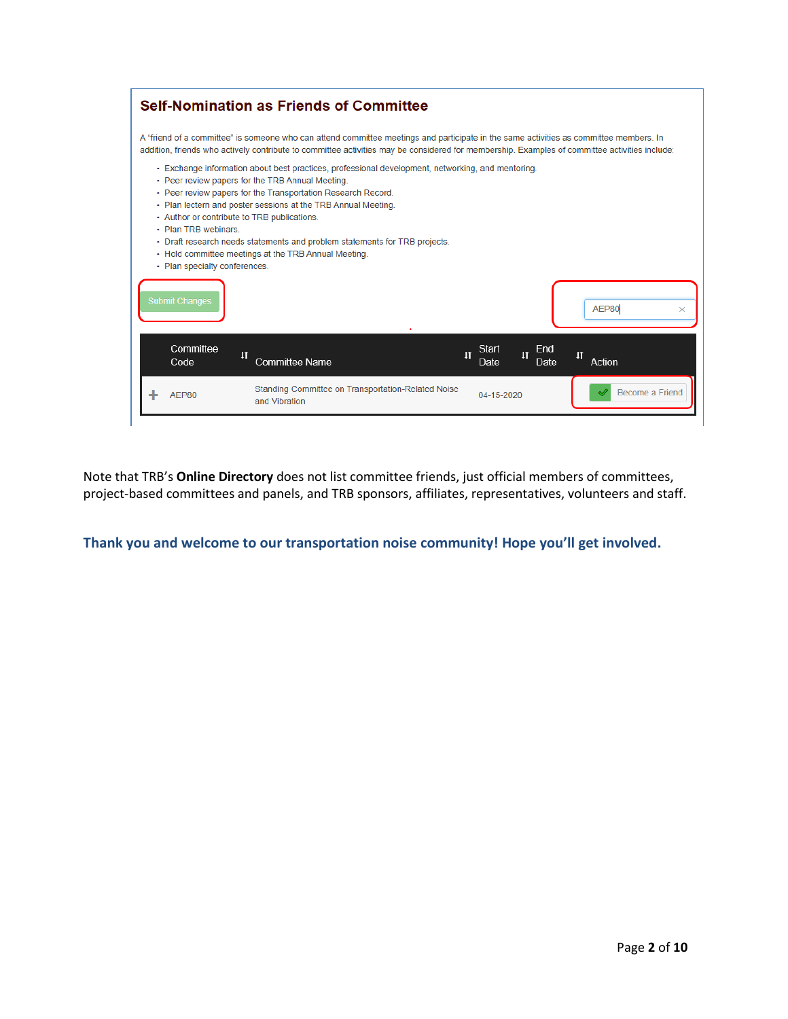| <b>Self-Nomination as Friends of Committee</b>                                                                                                                                                                                                                                                                                                                                                                                                                                                                                      |                                                                        |
|-------------------------------------------------------------------------------------------------------------------------------------------------------------------------------------------------------------------------------------------------------------------------------------------------------------------------------------------------------------------------------------------------------------------------------------------------------------------------------------------------------------------------------------|------------------------------------------------------------------------|
| A "friend of a committee" is someone who can attend committee meetings and participate in the same activities as committee members. In<br>addition, friends who actively contribute to committee activities may be considered for membership. Examples of committee activities include:                                                                                                                                                                                                                                             |                                                                        |
| . Exchange information about best practices, professional development, networking, and mentoring.<br>• Peer review papers for the TRB Annual Meeting.<br>• Peer review papers for the Transportation Research Record.<br>• Plan lectern and poster sessions at the TRB Annual Meeting.<br>• Author or contribute to TRB publications.<br>• Plan TRB webinars<br>• Draft research needs statements and problem statements for TRB projects.<br>• Hold committee meetings at the TRB Annual Meeting.<br>• Plan specialty conferences. |                                                                        |
| <b>Submit Changes</b>                                                                                                                                                                                                                                                                                                                                                                                                                                                                                                               | AEP80<br>×                                                             |
| Committee<br>$\mathbf{H}$<br>$\mathbf{I}$<br>Committee Name<br>Code                                                                                                                                                                                                                                                                                                                                                                                                                                                                 | Start<br>End<br>$\mathbf{I}$<br>$\mathbf{1}$<br>Action<br>Date<br>Date |
| Standing Committee on Transportation-Related Noise<br>AEP80<br>and Vibration                                                                                                                                                                                                                                                                                                                                                                                                                                                        | Become a Friend<br>04-15-2020                                          |

Note that TRB's **Online Directory** does not list committee friends, just official members of committees, project-based committees and panels, and TRB sponsors, affiliates, representatives, volunteers and staff.

**Thank you and welcome to our transportation noise community! Hope you'll get involved.**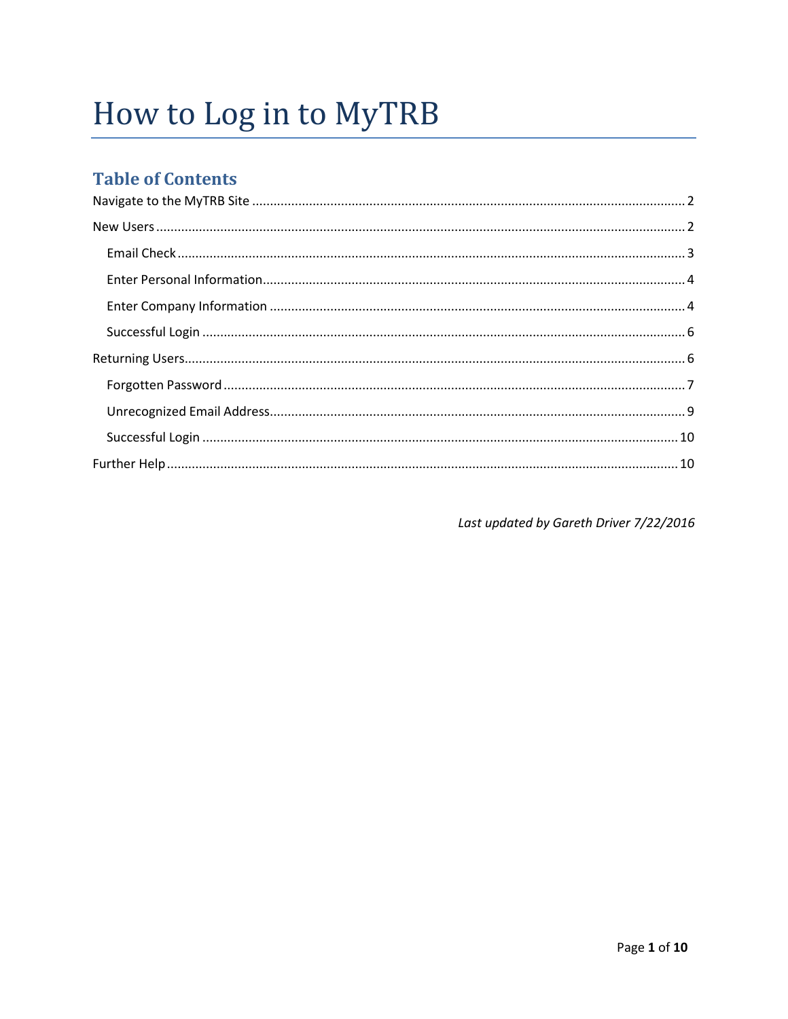# How to Log in to MyTRB

# **Table of Contents**

Last updated by Gareth Driver 7/22/2016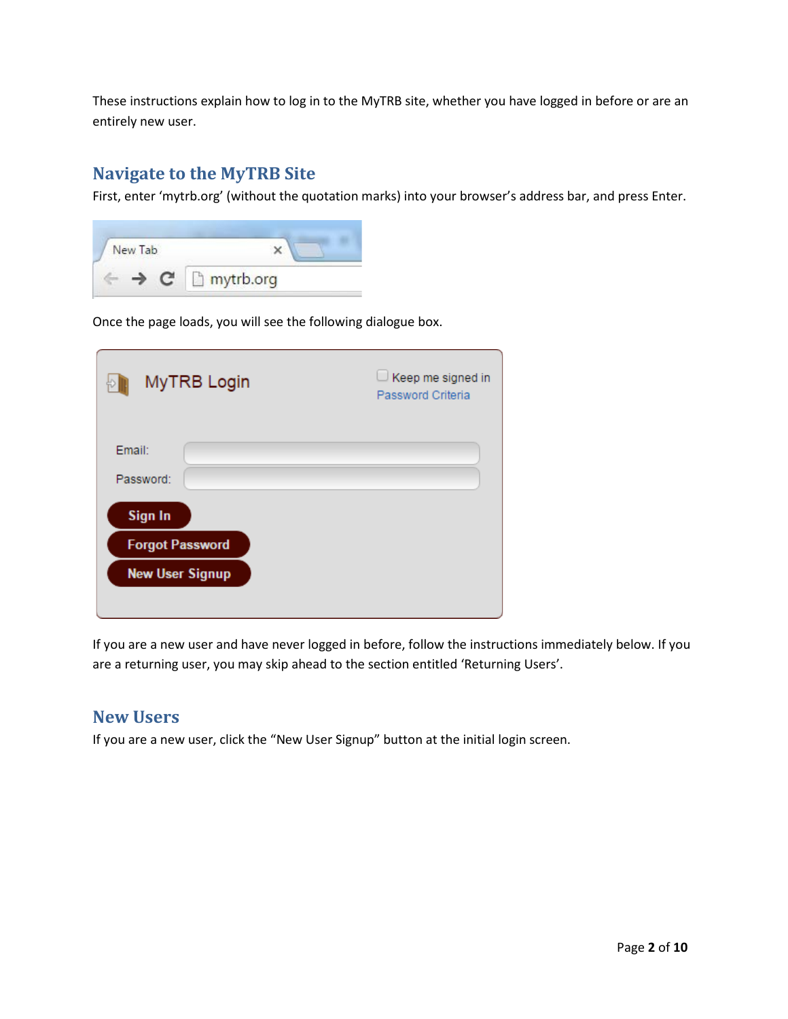These instructions explain how to log in to the MyTRB site, whether you have logged in before or are an entirely new user.

## <span id="page-3-0"></span>**Navigate to the MyTRB Site**

First, enter 'mytrb.org' (without the quotation marks) into your browser's address bar, and press Enter.



Once the page loads, you will see the following dialogue box.

| MyTRB Login                                      | $\Box$ Keep me signed in<br>Password Criteria |
|--------------------------------------------------|-----------------------------------------------|
| Email:<br>Password:<br><b>Sign In</b>            |                                               |
| <b>Forgot Password</b><br><b>New User Signup</b> |                                               |

If you are a new user and have never logged in before, follow the instructions immediately below. If you are a returning user, you may skip ahead to the section entitled 'Returning Users'.

## <span id="page-3-1"></span>**New Users**

If you are a new user, click the "New User Signup" button at the initial login screen.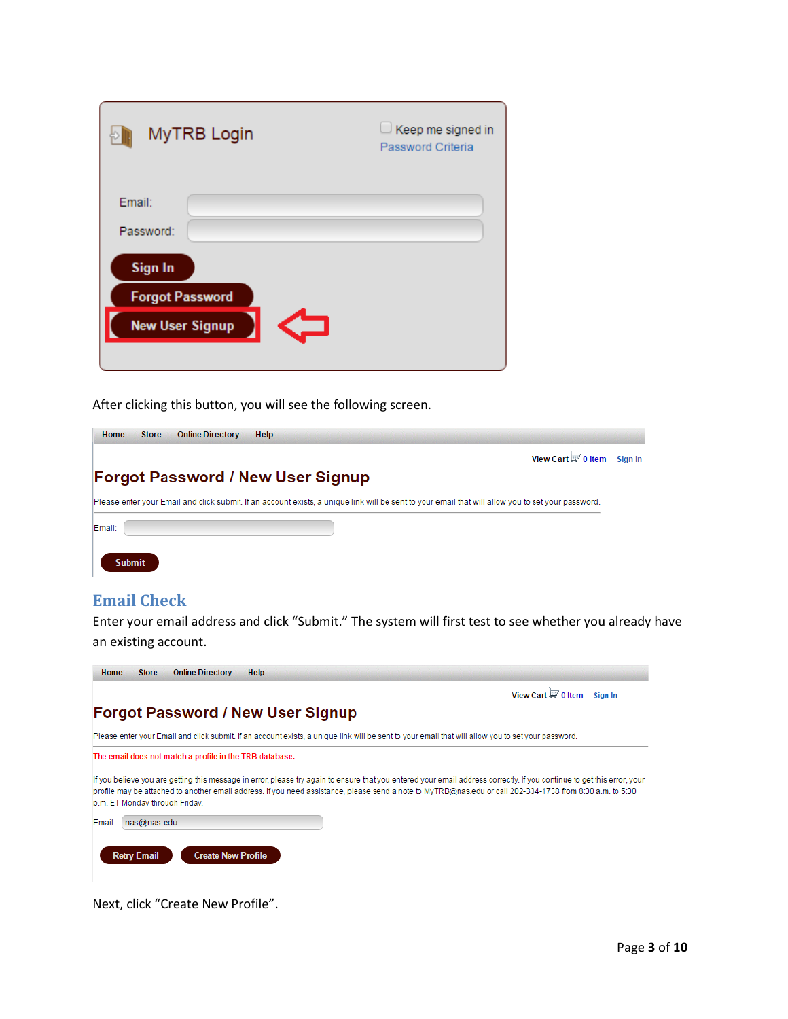| MyTRB Login                                                        | Keep me signed in<br>Password Criteria |
|--------------------------------------------------------------------|----------------------------------------|
| Email:<br>Password:                                                |                                        |
| <b>Sign In</b><br><b>Forgot Password</b><br><b>New User Signup</b> |                                        |

After clicking this button, you will see the following screen.

| Home   | <b>Store</b> | <b>Online Directory</b> | <b>Help</b>                                                                                                                                        |         |
|--------|--------------|-------------------------|----------------------------------------------------------------------------------------------------------------------------------------------------|---------|
|        |              |                         | View Cart $\overline{\mathbb{H}'}$ 0 Item                                                                                                          | Sian In |
|        |              |                         | <b>Forgot Password / New User Signup</b>                                                                                                           |         |
|        |              |                         | Please enter your Email and click submit. If an account exists, a unique link will be sent to your email that will allow you to set your password. |         |
| Email: |              |                         |                                                                                                                                                    |         |

<span id="page-4-0"></span>

| <b>Email Check</b> |  |
|--------------------|--|

Submit

Enter your email address and click "Submit." The system will first test to see whether you already have an existing account.

| <b>Online Directory</b><br><b>Help</b><br><b>Store</b><br>Home |                                                    |
|----------------------------------------------------------------|----------------------------------------------------|
|                                                                | View Cart $\overline{\mathbb{H}^2}$ 0 Item Sign In |
| <b>Forgot Password / New User Signup</b>                       |                                                    |

Please enter your Email and click submit. If an account exists, a unique link will be sent to your email that will allow you to set your password.

The email does not match a profile in the TRB database.

If you believe you are getting this message in error, please try again to ensure that you entered your email address correctly. If you continue to get this error, your profile may be attached to another email address. If you need assistance, please send a note to MyTRB@nas.edu or call 202-334-1738 from 8:00 a.m. to 5:00 p.m. ET Monday through Friday.

| Email:   nas@nas.edu |                           |  |
|----------------------|---------------------------|--|
| <b>Retry Email</b>   | <b>Create New Profile</b> |  |

Next, click "Create New Profile".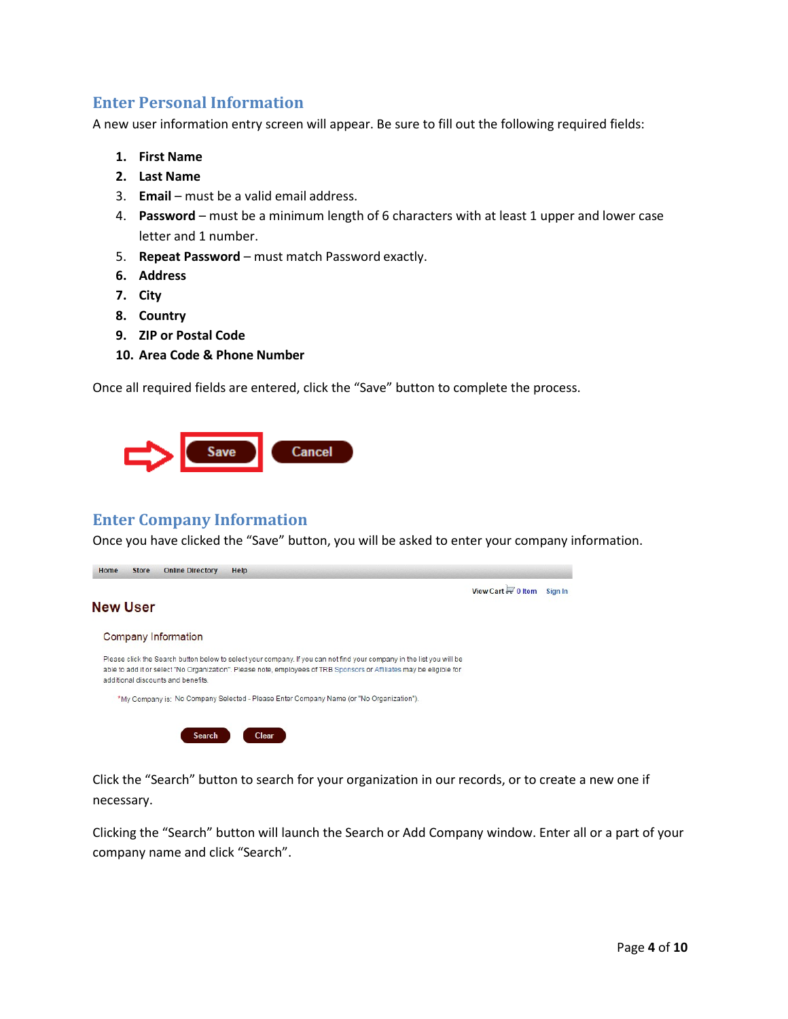#### <span id="page-5-0"></span>**Enter Personal Information**

A new user information entry screen will appear. Be sure to fill out the following required fields:

- **1. First Name**
- **2. Last Name**
- 3. **Email**  must be a valid email address.
- 4. **Password**  must be a minimum length of 6 characters with at least 1 upper and lower case letter and 1 number.
- 5. **Repeat Password**  must match Password exactly.
- **6. Address**
- **7. City**
- **8. Country**
- **9. ZIP or Postal Code**
- **10. Area Code & Phone Number**

Once all required fields are entered, click the "Save" button to complete the process.



#### <span id="page-5-1"></span>**Enter Company Information**

Once you have clicked the "Save" button, you will be asked to enter your company information.

|                                                                                                                                                                                                                                                                                     | View Cart $\overline{\mathbb{F}}$ 0 Item | Sian In |
|-------------------------------------------------------------------------------------------------------------------------------------------------------------------------------------------------------------------------------------------------------------------------------------|------------------------------------------|---------|
| <b>New User</b>                                                                                                                                                                                                                                                                     |                                          |         |
| Company Information                                                                                                                                                                                                                                                                 |                                          |         |
| Please click the Search button below to select your company. If you can not find your company in the list you will be<br>able to add it or select "No Organization". Please note, employees of TRB Sponsors or Affiliates may be eligible for<br>additional discounts and benefits. |                                          |         |
| *My Company is: No Company Selected - Please Enter Company Name (or "No Organization").                                                                                                                                                                                             |                                          |         |

Click the "Search" button to search for your organization in our records, or to create a new one if necessary.

Clicking the "Search" button will launch the Search or Add Company window. Enter all or a part of your company name and click "Search".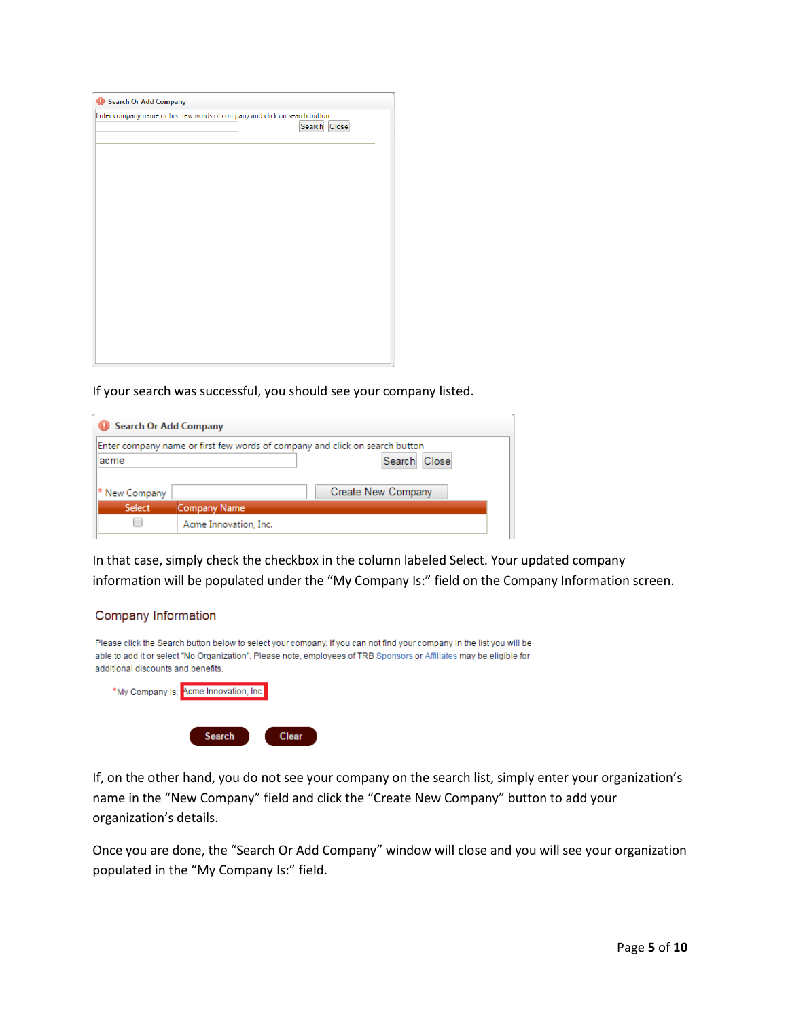| Search Or Add Company                                                       |
|-----------------------------------------------------------------------------|
| Enter company name or first few words of company and click on search button |
| Search Close                                                                |
|                                                                             |
|                                                                             |
|                                                                             |
|                                                                             |
|                                                                             |
|                                                                             |
|                                                                             |
|                                                                             |
|                                                                             |
|                                                                             |
|                                                                             |
|                                                                             |
|                                                                             |
|                                                                             |
|                                                                             |
|                                                                             |
|                                                                             |

If your search was successful, you should see your company listed.

| Search Or Add Company |                                                                             |  |
|-----------------------|-----------------------------------------------------------------------------|--|
|                       | Enter company name or first few words of company and click on search button |  |
| acme                  | Search Close                                                                |  |
| * New Company         | Create New Company                                                          |  |
| Select                | <b>Company Name</b>                                                         |  |
|                       | Acme Innovation, Inc.                                                       |  |

In that case, simply check the checkbox in the column labeled Select. Your updated company information will be populated under the "My Company Is:" field on the Company Information screen.

#### Company Information

| Please click the Search button below to select your company. If you can not find your company in the list you will be<br>able to add it or select "No Organization". Please note, employees of TRB Sponsors or Affiliates may be eligible for<br>additional discounts and benefits. |
|-------------------------------------------------------------------------------------------------------------------------------------------------------------------------------------------------------------------------------------------------------------------------------------|
| *My Company is: Acme Innovation, Inc.                                                                                                                                                                                                                                               |
| <b>Search</b><br><b>Clear</b>                                                                                                                                                                                                                                                       |

If, on the other hand, you do not see your company on the search list, simply enter your organization's name in the "New Company" field and click the "Create New Company" button to add your organization's details.

Once you are done, the "Search Or Add Company" window will close and you will see your organization populated in the "My Company Is:" field.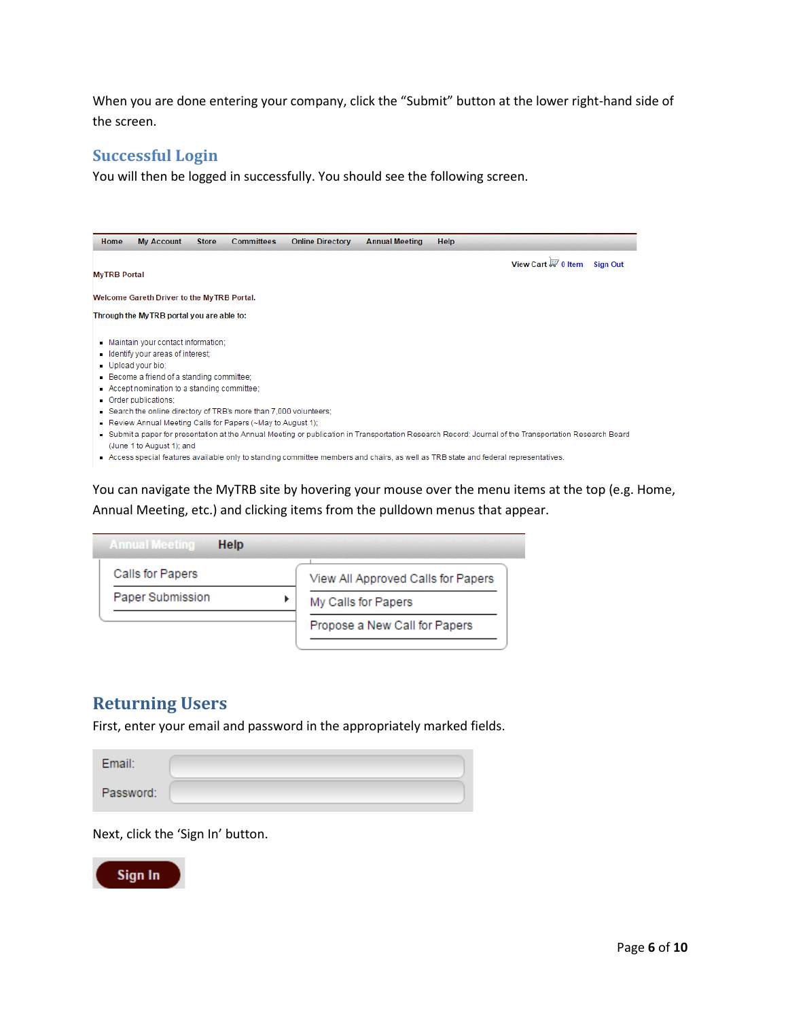When you are done entering your company, click the "Submit" button at the lower right-hand side of the screen.

#### <span id="page-7-0"></span>**Successful Login**

You will then be logged in successfully. You should see the following screen.

| <b>MyTRB Portal</b>                                                                                                                                                                                                                                                                                                                                                              |  |  |                                                                                                                                                      |
|----------------------------------------------------------------------------------------------------------------------------------------------------------------------------------------------------------------------------------------------------------------------------------------------------------------------------------------------------------------------------------|--|--|------------------------------------------------------------------------------------------------------------------------------------------------------|
|                                                                                                                                                                                                                                                                                                                                                                                  |  |  | View Cart $\overline{\mathbb{H}'}$ 0 Item<br><b>Sign Out</b>                                                                                         |
| Welcome Gareth Driver to the MyTRB Portal.                                                                                                                                                                                                                                                                                                                                       |  |  |                                                                                                                                                      |
| Through the MyTRB portal you are able to:                                                                                                                                                                                                                                                                                                                                        |  |  |                                                                                                                                                      |
| - Maintain your contact information:<br>Identify your areas of interest;<br>Upload your bio:<br>- Become a friend of a standing committee;<br>- Accept nomination to a standing committee:<br>Order publications:<br>Search the online directory of TRB's more than 7,000 volunteers;<br>Review Annual Meeting Calls for Papers (~May to August 1);<br>(June 1 to August 1); and |  |  | Submit a paper for presentation at the Annual Meeting or publication in Transportation Research Record: Journal of the Transportation Research Board |

You can navigate the MyTRB site by hovering your mouse over the menu items at the top (e.g. Home, Annual Meeting, etc.) and clicking items from the pulldown menus that appear.

| Calls for Papers | View All Approved Calls for Papers |
|------------------|------------------------------------|
| Paper Submission | My Calls for Papers                |
|                  | Propose a New Call for Papers      |

# <span id="page-7-1"></span>**Returning Users**

First, enter your email and password in the appropriately marked fields.

| <b>Email:</b> |  |
|---------------|--|
| Password:     |  |

Next, click the 'Sign In' button.

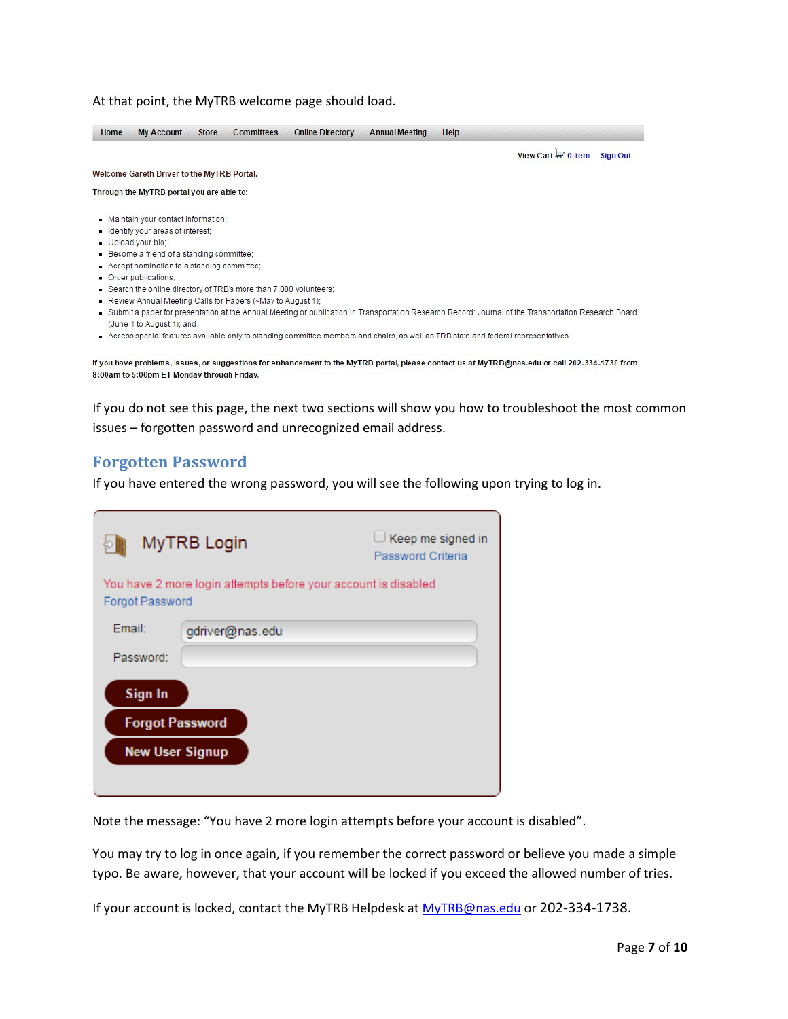#### At that point, the MyTRB welcome page should load.

| Home | <b>My Account</b>                                                | <b>Store</b> | Committees | <b>Online Directory</b> | <b>Annual Meeting</b> | Help |                                                                                                                                                      |
|------|------------------------------------------------------------------|--------------|------------|-------------------------|-----------------------|------|------------------------------------------------------------------------------------------------------------------------------------------------------|
|      |                                                                  |              |            |                         |                       |      | View Cart & 0 Item<br><b>Sign Out</b>                                                                                                                |
|      | Welcome Gareth Driver to the MyTRB Portal.                       |              |            |                         |                       |      |                                                                                                                                                      |
|      | Through the MyTRB portal you are able to:                        |              |            |                         |                       |      |                                                                                                                                                      |
|      | Maintain your contact information:                               |              |            |                         |                       |      |                                                                                                                                                      |
|      | Identify your areas of interest:                                 |              |            |                         |                       |      |                                                                                                                                                      |
|      | Upload your bio:                                                 |              |            |                         |                       |      |                                                                                                                                                      |
|      | Become a friend of a standing committee;                         |              |            |                         |                       |      |                                                                                                                                                      |
|      | Accept nomination to a standing committee;                       |              |            |                         |                       |      |                                                                                                                                                      |
|      | Order publications:                                              |              |            |                         |                       |      |                                                                                                                                                      |
|      | Search the online directory of TRB's more than 7,000 volunteers; |              |            |                         |                       |      |                                                                                                                                                      |
|      | Review Annual Meeting Calls for Papers (~May to August 1):       |              |            |                         |                       |      |                                                                                                                                                      |
|      | (June 1 to August 1); and                                        |              |            |                         |                       |      | Submit a paper for presentation at the Annual Meeting or publication in Transportation Research Record: Journal of the Transportation Research Board |
|      |                                                                  |              |            |                         |                       |      | Access special features available only to standing committee members and chairs, as well as TRB state and federal representatives.                   |
|      |                                                                  |              |            |                         |                       |      |                                                                                                                                                      |

If you have problems, issues, or suggestions for enhancement to the MyTRB portal, please contact us at MyTRB@nas.edu or call 202-334-1738 from 8:00am to 5:00pm ET Monday through Friday.

If you do not see this page, the next two sections will show you how to troubleshoot the most common issues – forgotten password and unrecognized email address.

#### <span id="page-8-0"></span>**Forgotten Password**

If you have entered the wrong password, you will see the following upon trying to log in.

|                        | MyTRB Login                                                    | Keep me signed in<br>Password Criteria |
|------------------------|----------------------------------------------------------------|----------------------------------------|
| Forgot Password        | You have 2 more login attempts before your account is disabled |                                        |
| Email:                 | gdriver@nas.edu                                                |                                        |
| Password:              |                                                                |                                        |
| <b>Sign In</b>         |                                                                |                                        |
| <b>Forgot Password</b> |                                                                |                                        |
| <b>New User Signup</b> |                                                                |                                        |
|                        |                                                                |                                        |

Note the message: "You have 2 more login attempts before your account is disabled".

You may try to log in once again, if you remember the correct password or believe you made a simple typo. Be aware, however, that your account will be locked if you exceed the allowed number of tries.

If your account is locked, contact the MyTRB Helpdesk at [MyTRB@nas.edu](mailto:MyTRB@nas.edu) or 202-334-1738.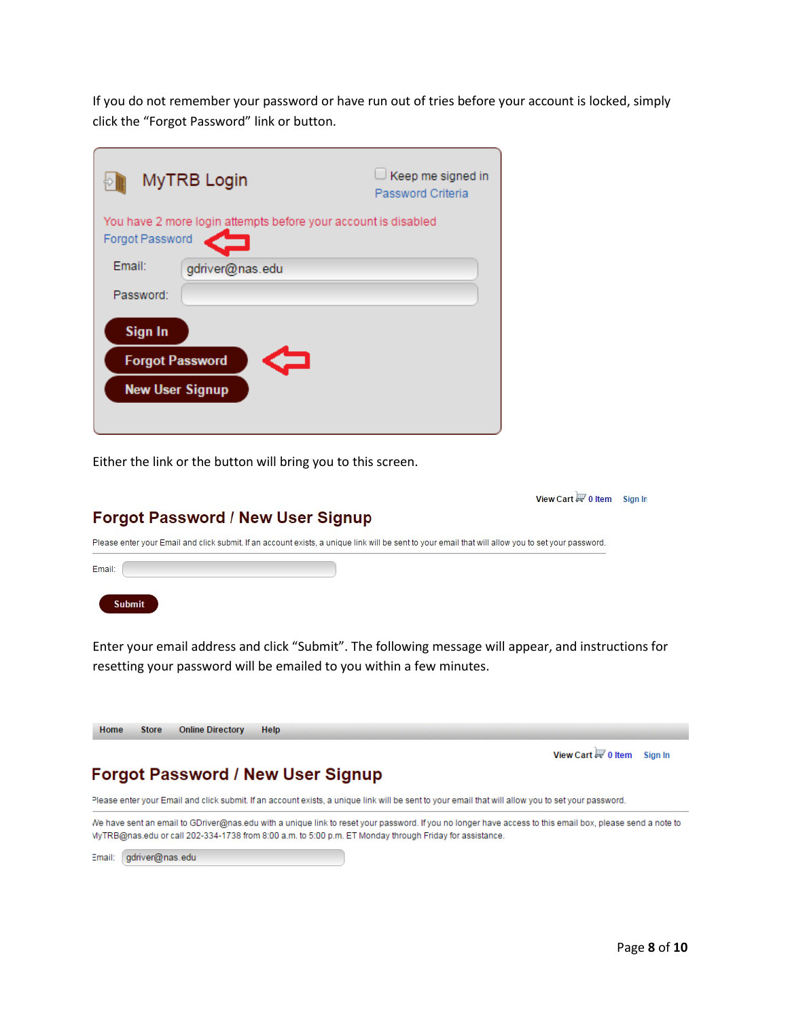If you do not remember your password or have run out of tries before your account is locked, simply click the "Forgot Password" link or button.

|                                   | MyTRB Login                                                    | Keep me signed in<br>Password Criteria |
|-----------------------------------|----------------------------------------------------------------|----------------------------------------|
| Forgot Password                   | You have 2 more login attempts before your account is disabled |                                        |
| Email:                            | gdriver@nas.edu                                                |                                        |
| Password:                         |                                                                |                                        |
| Sign In<br><b>Forgot Password</b> |                                                                |                                        |
| <b>New User Signup</b>            |                                                                |                                        |
|                                   |                                                                |                                        |

Either the link or the button will bring you to this screen.

|                                                                                                                                                    | View Cart $\overline{H}$ 0 Item Sign In |  |
|----------------------------------------------------------------------------------------------------------------------------------------------------|-----------------------------------------|--|
| <b>Forgot Password / New User Signup</b>                                                                                                           |                                         |  |
| Please enter your Email and click submit. If an account exists, a unique link will be sent to your email that will allow you to set your password. |                                         |  |
| Email:                                                                                                                                             |                                         |  |
| <b>Suhmit</b>                                                                                                                                      |                                         |  |

Enter your email address and click "Submit". The following message will appear, and instructions for resetting your password will be emailed to you within a few minutes.

| <b>Online Directory</b><br>Help<br>Home<br><b>Store</b>                                                                                            |                                                           |  |
|----------------------------------------------------------------------------------------------------------------------------------------------------|-----------------------------------------------------------|--|
|                                                                                                                                                    | View Cart $\overline{\mathbb{H}^{\prime}}$ 0 Item Sign In |  |
| <b>Forgot Password / New User Signup</b>                                                                                                           |                                                           |  |
| Please enter your Email and click submit. If an account exists, a unique link will be sent to your email that will allow you to set your password. |                                                           |  |

We have sent an email to GDriver@nas.edu with a unique link to reset your password. If you no longer have access to this email box, please send a note to MyTRB@nas.edu or call 202-334-1738 from 8:00 a.m. to 5:00 p.m. ET Monday through Friday for assistance.

Email: gdriver@nas.edu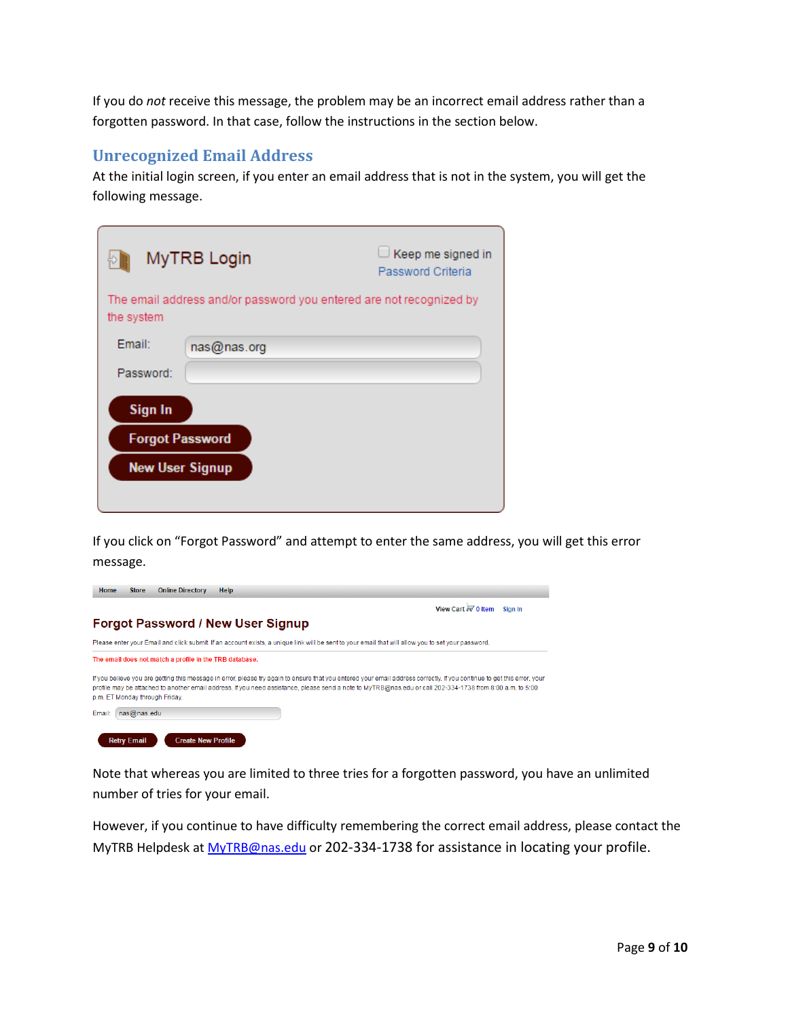If you do *not* receive this message, the problem may be an incorrect email address rather than a forgotten password. In that case, follow the instructions in the section below.

#### <span id="page-10-0"></span>**Unrecognized Email Address**

At the initial login screen, if you enter an email address that is not in the system, you will get the following message.

|                                                             | MyTRB Login                                                         | Keep me signed in<br>Password Criteria |
|-------------------------------------------------------------|---------------------------------------------------------------------|----------------------------------------|
| the system                                                  | The email address and/or password you entered are not recognized by |                                        |
| Fmail:                                                      | nas@nas.org                                                         |                                        |
| Password:                                                   |                                                                     |                                        |
| Sign In<br><b>Forgot Password</b><br><b>New User Signup</b> |                                                                     |                                        |

If you click on "Forgot Password" and attempt to enter the same address, you will get this error message.



Note that whereas you are limited to three tries for a forgotten password, you have an unlimited number of tries for your email.

However, if you continue to have difficulty remembering the correct email address, please contact the MyTRB Helpdesk at [MyTRB@nas.edu](mailto:MyTRB@nas.edu) or 202-334-1738 for assistance in locating your profile.